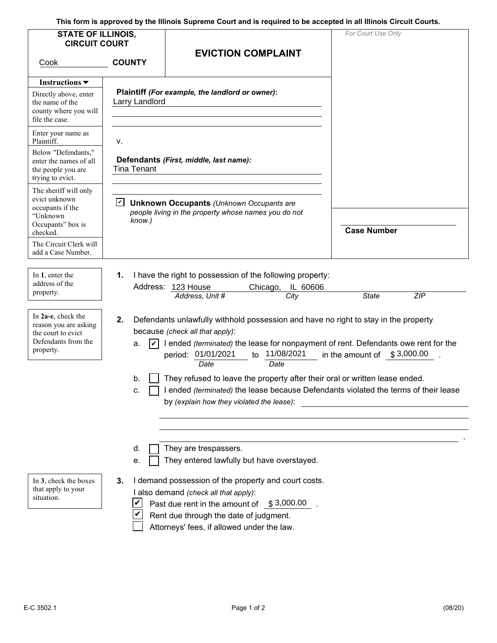**This form is approved by the Illinois Supreme Court and is required to be accepted in all Illinois Circuit Courts.** 

| <b>STATE OF ILLINOIS,</b>                                                                             |                                                                                                              | rnis form is approved by the inmois supreme Court and is required to be accepted in an inmois Circuit Courts.                                                                                                                                                                                                                                                                                                                                                                                                                                                                      | For Court Use Only |  |  |  |
|-------------------------------------------------------------------------------------------------------|--------------------------------------------------------------------------------------------------------------|------------------------------------------------------------------------------------------------------------------------------------------------------------------------------------------------------------------------------------------------------------------------------------------------------------------------------------------------------------------------------------------------------------------------------------------------------------------------------------------------------------------------------------------------------------------------------------|--------------------|--|--|--|
| <b>CIRCUIT COURT</b><br>Cook                                                                          | <b>COUNTY</b>                                                                                                | <b>EVICTION COMPLAINT</b>                                                                                                                                                                                                                                                                                                                                                                                                                                                                                                                                                          |                    |  |  |  |
| Instructions $\blacktriangledown$                                                                     |                                                                                                              |                                                                                                                                                                                                                                                                                                                                                                                                                                                                                                                                                                                    |                    |  |  |  |
| Directly above, enter<br>the name of the<br>county where you will<br>file the case.                   | Larry Landlord                                                                                               | Plaintiff (For example, the landlord or owner):                                                                                                                                                                                                                                                                                                                                                                                                                                                                                                                                    |                    |  |  |  |
| Enter your name as<br>Plaintiff.                                                                      | v.                                                                                                           |                                                                                                                                                                                                                                                                                                                                                                                                                                                                                                                                                                                    |                    |  |  |  |
| Below "Defendants."<br>enter the names of all<br>the people you are<br>trying to evict.               | <b>Tina Tenant</b>                                                                                           | Defendants (First, middle, last name):                                                                                                                                                                                                                                                                                                                                                                                                                                                                                                                                             |                    |  |  |  |
| The sheriff will only<br>evict unknown<br>occupants if the                                            | ☑<br><b>Unknown Occupants (Unknown Occupants are</b><br>people living in the property whose names you do not |                                                                                                                                                                                                                                                                                                                                                                                                                                                                                                                                                                                    |                    |  |  |  |
| "Unknown<br>Occupants" box is<br>checked.                                                             | know.)                                                                                                       |                                                                                                                                                                                                                                                                                                                                                                                                                                                                                                                                                                                    | <b>Case Number</b> |  |  |  |
| The Circuit Clerk will<br>add a Case Number.                                                          |                                                                                                              |                                                                                                                                                                                                                                                                                                                                                                                                                                                                                                                                                                                    |                    |  |  |  |
| In 1, enter the<br>address of the<br>property.                                                        | 1.                                                                                                           | I have the right to possession of the following property:<br>Address: 123 House<br>IL 60606<br>Chicago,                                                                                                                                                                                                                                                                                                                                                                                                                                                                            |                    |  |  |  |
| In 2a-e, check the<br>reason you are asking<br>the court to evict<br>Defendants from the<br>property. | 2.<br>a.<br>b.<br>с.                                                                                         | <b>ZIP</b><br>Address, Unit #<br><b>State</b><br>City<br>Defendants unlawfully withhold possession and have no right to stay in the property<br>because (check all that apply):<br>I ended (terminated) the lease for nonpayment of rent. Defendants owe rent for the<br>11/08/2021<br>period: 01/01/2021<br>in the amount of $$3,000.00$<br>to<br>Date<br>Date<br>They refused to leave the property after their oral or written lease ended.<br>I ended (terminated) the lease because Defendants violated the terms of their lease<br>by (explain how they violated the lease): |                    |  |  |  |
| In 3, check the boxes<br>that apply to your<br>situation.                                             | d.<br>е.<br>3.                                                                                               | They are trespassers.<br>They entered lawfully but have overstayed.<br>I demand possession of the property and court costs.<br>I also demand (check all that apply):<br>Past due rent in the amount of $$3,000.00$<br>Rent due through the date of judgment.<br>Attorneys' fees, if allowed under the law.                                                                                                                                                                                                                                                                         |                    |  |  |  |